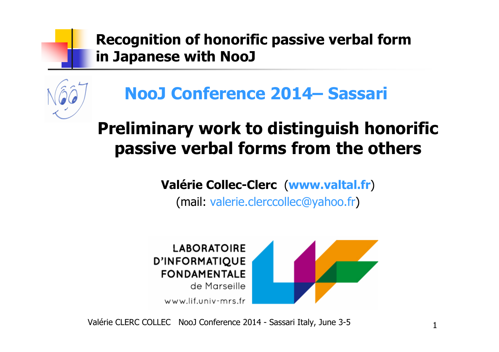

## **Preliminary work to distinguish honorific passive verbal forms from the others**

**Valérie Collec-Clerc**(**www.valtal.fr**)

(mail: valerie.clerccollec@yahoo.fr)



Valérie CLERC COLLEC NooJ Conference 2014 - Sassari Italy, June 3-5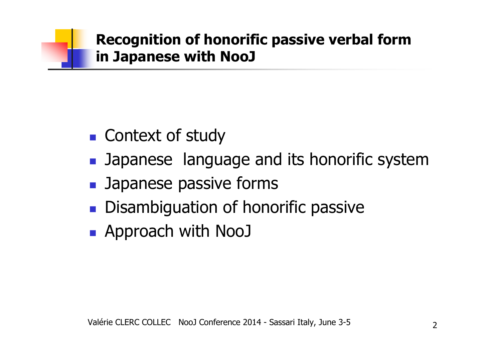- $\mathbb{R}^n$ ■ Context of study
- $\mathbb{R}^n$ **Demographs** Japanese language and its honorific system
- $\mathbb{R}^n$ **B** Japanese passive forms
- $\mathbb{R}^2$ **Disambiguation of honorific passive**
- $\mathbb{R}^n$ Approach with NooJ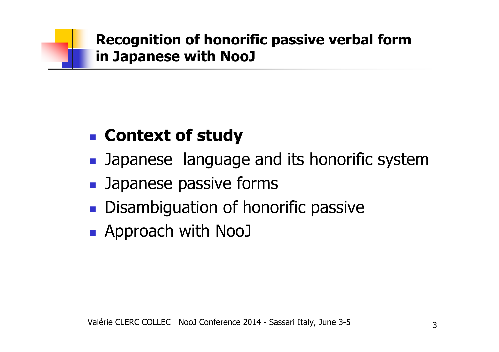#### $\mathbb{R}^n$ **Context of study**

- $\mathbb{R}^n$ **Demographs** Japanese language and its honorific system
- $\mathbb{R}^n$ **B** Japanese passive forms
- $\mathbb{R}^2$ **Disambiguation of honorific passive**
- $\mathbb{R}^n$ Approach with NooJ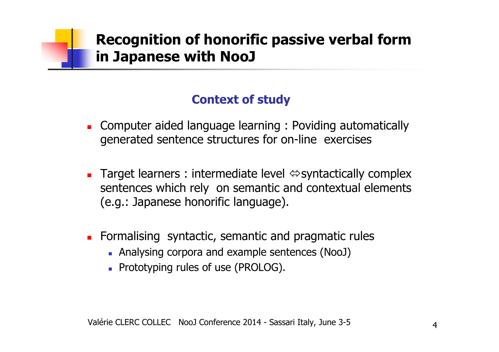### **Context of study**

- Computer aided language learning : Poviding automatically<br>Generated sentence structures for on-line exercises generated sentence structures for on-line exercises
- Ξ **Target learners : intermediate level**  $\Leftrightarrow$  **syntactically complex** sentences which rely on semantic and contextual elements (e.g.: Japanese honorific language).
- П **Formalising syntactic, semantic and pragmatic rules** 
	- Analysing corpora and example sentences (NooJ)
	- **Prototyping rules of use (PROLOG).**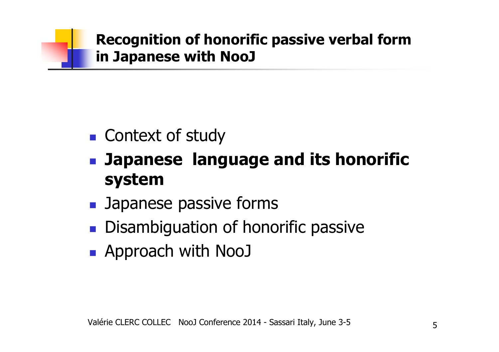

- $\mathbb{R}^n$ ■ Context of study
- $\mathbb{R}^n$  **Japanese language and its honorific system**
- msdst n **B** Japanese passive forms
- $\mathbb{R}^n$ **Disambiguation of honorific passive**
- $\mathbb{R}^n$ Approach with NooJ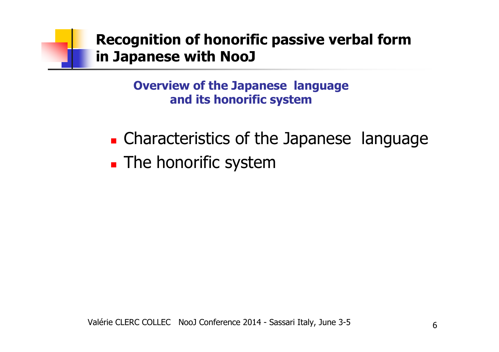**Overview of the Japanese language and its honorific system**

- $\blacksquare$ **Example 2 Characteristics of the Japanese language**
- $\blacksquare$ **The honorific system**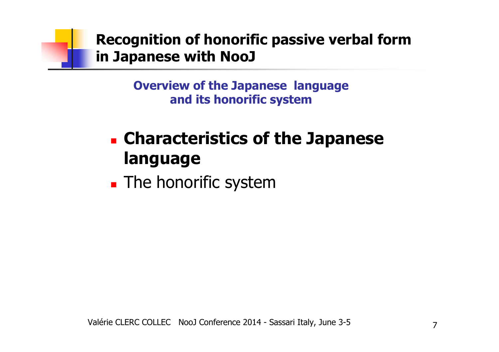**Overview of the Japanese language and its honorific system**

### $\blacksquare$  **Characteristics of the Japanese language**

× **The honorific system**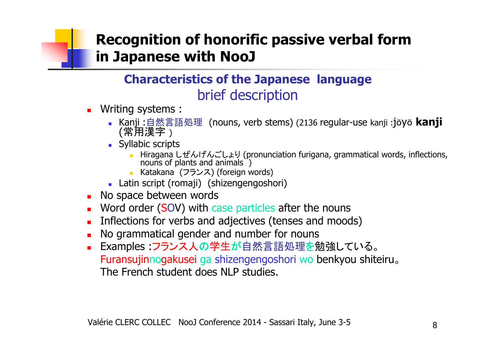### **Characteristics of the Japanese language** brief description

- Writing systems :
	- Kanji :自然言語処理 (nouns, verb stems) (2136 regular-use kanji : jōyō **kanji** (常用漢字)<br>Svllabic scrin
	- **Syllabic scripts** 
		- Hiragana しぜんげんごしょり (pronunciation furigana, grammatical words, inflections, nouns of plants and animals )
		- Katakana (フランス) (foreign words)<br>tin scrint (romaii) (chizengengosh
	- Latin script (romaji) (shizengengoshori)<br>o snace between words
- **No space between words**
- **Nord order (SOV) with case particles after the nouns**
- **Inflections for verbs and adjectives (tenses and moods)** □
- **No grammatical gender and number for nouns**
- Examples :フランス人の学生が自然言語処理を勉強している。 Furansujinnogakusei ga shizengengoshori wo benkyou shiteiru<br>The French student does NLP studies o The French student does NLP studies.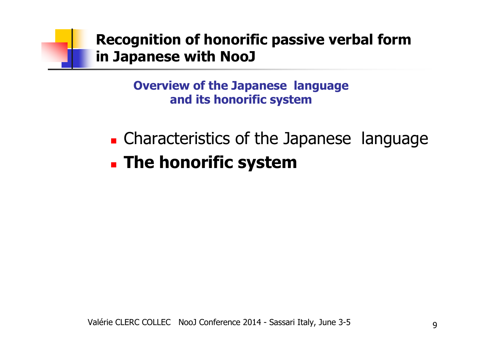**Overview of the Japanese language and its honorific system**

 $\blacksquare$ **Example 2 Characteristics of the Japanese language**  $\blacksquare$ **The honorific system**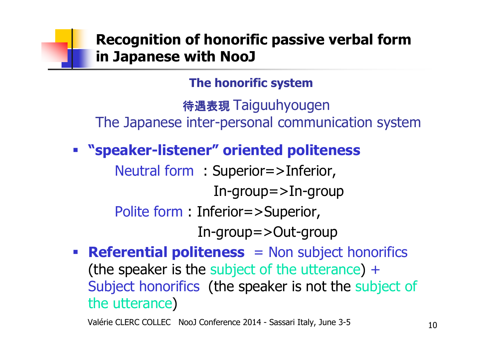**The honorific system**

待遇表現 Taiguuhyougen<br>inter.persenal.commur The Japanese inter-personal communication system

**"speaker-listener" oriented politeness**

Neutral form : Superior=>Inferior, In-group=>In-groupPolite form : Inferior=>Superior, In-group=>Out-group

 **Referential politeness** = Non subject honorifics (the speaker is the subject of the utterance) <sup>+</sup> Subject honorifics (the speaker is not the subject of the utterance)

Valérie CLERC COLLEC NooJ Conference 2014 - Sassari Italy, June 3-5 10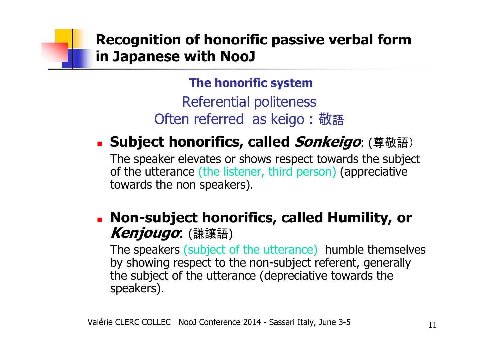**The honorific system**

 Referential politeness Often referred as keigo: 敬語

#### × **Subject honorifics, called Sonkeigo**: (尊敬語)

 The speaker elevates or shows respect towards the subject of the utterance (the listener, third person) (appreciative towards the non speakers).

#### × **Non-subject honorifics, called Humility, or Kenjougo**: (謙譲語)

The speakers (subject of the utterance) humble themselves by showing respect to the non-subject referent, generally the subject of the utterance (depreciative towards the speakers).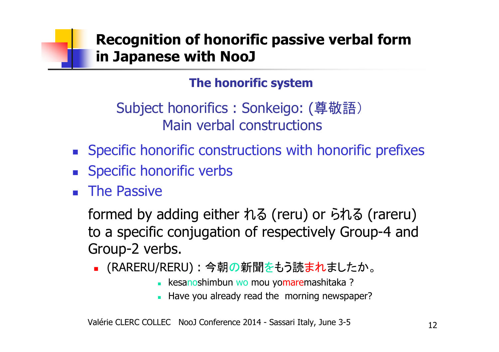### **The honorific system**

Subject honorifics : Sonkeigo: (尊敬語)Main verbal constructions

- П **Specific honorific constructions with honorific prefixes**<br>Caseific haperific verbe
- П **Specific honorific verbs**
- П **The Passive**

formed by adding either れる (reru) or られる (rareru) to a specific conjugation of respectively Group-4 and Group-2 verbs.

- ٠ ■ (RARERU/RERU) : 今朝の新聞をもう読まれましたか。
	- kesanoshimbun wo mou yomaremashitaka ?<br>Llave veu already read the merring neuronar
	- Have you already read the morning newspaper?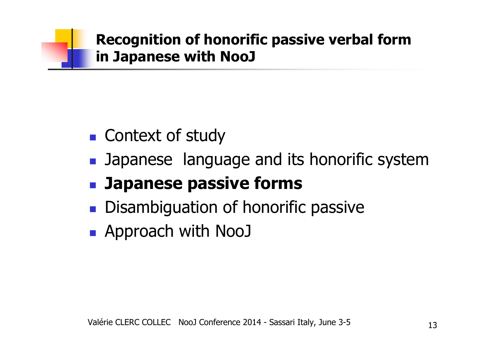- $\mathbb{R}^n$ ■ Context of study
- $\mathbb{R}^n$ **Demographs** Japanese language and its honorific system

#### $\mathbb{R}^n$ **Japanese passive forms**

- $\mathbb{R}^2$ **Disambiguation of honorific passive**
- $\mathbb{R}^n$ Approach with NooJ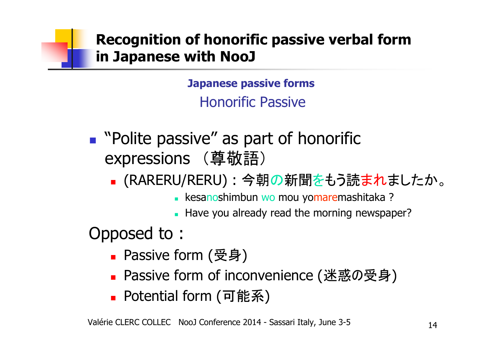**Japanese passive forms**Honorific Passive

- $\mathbb{R}^n$ ■ "Polite passive" as part of honorific<br>
expressions (酋数語) expressions (尊敬語)
	- $\mathbb{R}^n$ ■ (RARERU/RERU) : 今朝の新聞をもう読まれましたか。
		- kesanoshimbun wo mou yomaremashitaka ?<br>Llave you already read the merning novenan
		- Have you already read the morning newspaper?

Opposed to :

- $\mathbb{R}^n$ ■ Passive form (受身)
- ∎ Passive form of f Passive form of inconvenience (迷惑の受身)
- $\mathbb{R}^n$ ■ Potential form (可能系)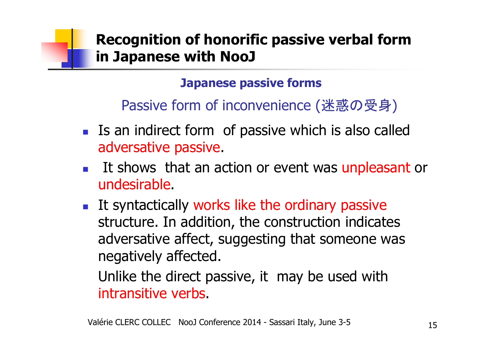### **Japanese passive forms**

# Passive form of inconvenience (迷惑の受身 )

- k.  $\blacksquare$  Is an indirect form of passive which is also called adversative passive.
- Г **It shows that an action or event was unpleasant or** undesirable.
- Г  $\blacksquare$  It syntactically works like the ordinary passive structure. In addition, the construction indicates adversative affect, suggesting that someone was negatively affected.

Unlike the direct passive, it may be used with intransitive verbs.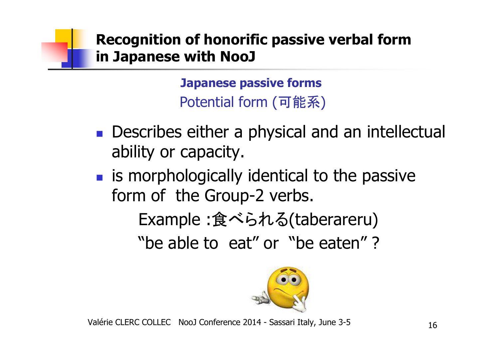**Japanese passive forms**Potential form(可能系)

- P. **Describes either a physical and an intellectual** ability or capacity.
- M **is morphologically identical to the passive** form of the Group-2 verbs.

Example :食べられる(taberareru)

"be able to eat" or "be eaten" ?



Valérie CLERC COLLEC NooJ Conference 2014 - Sassari Italy, June 3-5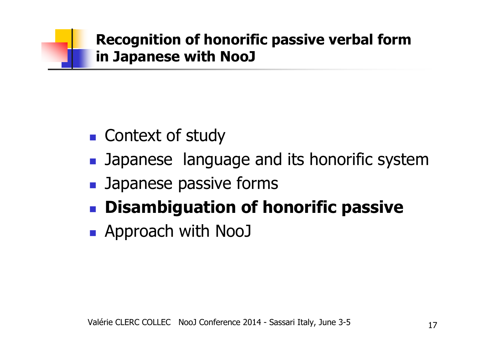- $\mathbb{R}^n$ ■ Context of study
- $\mathbb{R}^n$ **Demographs** Japanese language and its honorific system
- $\mathbb{R}^n$ **B** Japanese passive forms
- $\mathbb{R}^2$ **Disambiguation of honorific passive**
- $\mathbb{R}^n$ Approach with NooJ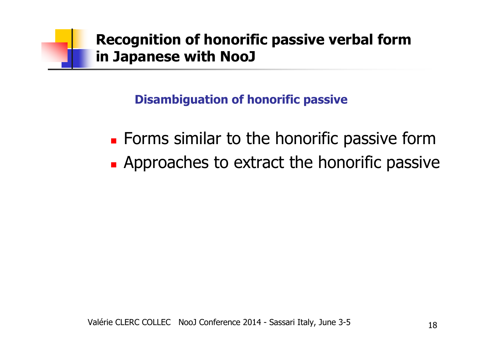### **Disambiguation of honorific passive**

- $\blacksquare$ **Example 7 Forms similar to the honorific passive form**
- $\blacksquare$  Approaches to extract the honorific passi **Approaches to extract the honorific passive**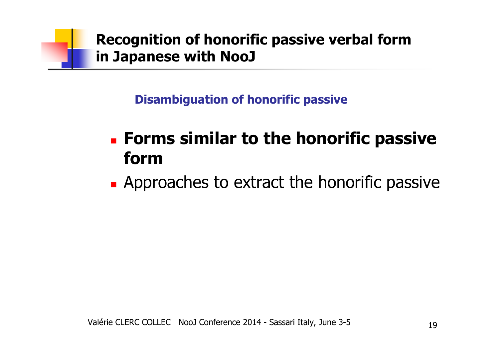

**Disambiguation of honorific passive** 

### $\blacksquare$  **Forms similar to the honorific passive form**

∎ ADD **Approaches to extract the honorific passive**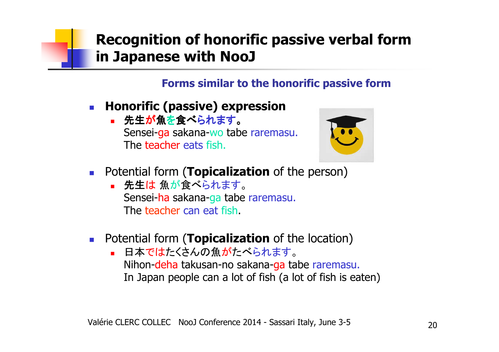### **Forms similar to the honorific passive form**

- $\overline{\mathbb{R}}$  **Honorific (passive) expression**
	- 先生が魚を食べられます。 Sensei-ga sakana-wo tabe raremasu.<br>— The <mark>teacher</mark> eats fish.



- $\mathcal{C}^{\mathcal{A}}$ **Potential form (Topicalization** of the person)
	- 先生は 魚が食べられます。 Sensei-ha sakana-ga tabe raremasu. The teacher can eat fish.
- **Potential form (Topicalization** of the location)
	- 日本ではたくさんの魚がたべられます。 Nihon-deha takusan-no sakana-ga tabe raremasu.<br>-In Japan people can a lot of fish (a lot of fish is eaten)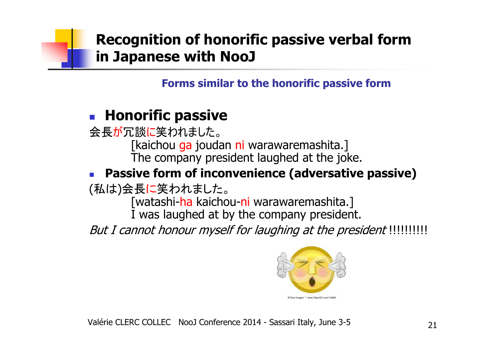**Forms similar to the honorific passive form**

#### F **Honorific passive**

会長が冗談に笑われました。 [kaichou ga joudan ni warawaremashita.]<br>The common wased without at the is The company president laughed at the joke.

#### **Passive form of inconvenience (adversative passive)**

(私は)会長に笑われました。

[watashi-ha kaichou-ni warawaremashita.]<br><del>.</del> I was laughed at by the company president.

But I cannot honour myself for laughing at the president !!!!!!!!!!!

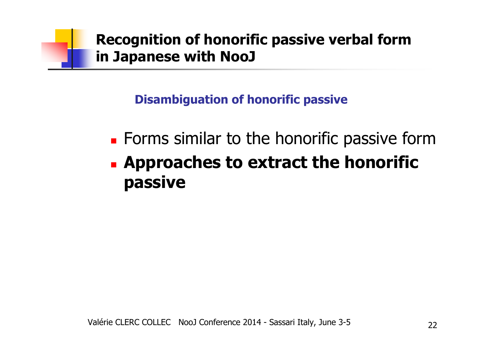### **Disambiguation of honorific passive**

- $\blacksquare$ **Example 7 Forms similar to the honorific passive form**
- $\blacksquare$  **Approaches to extract the honorific passive**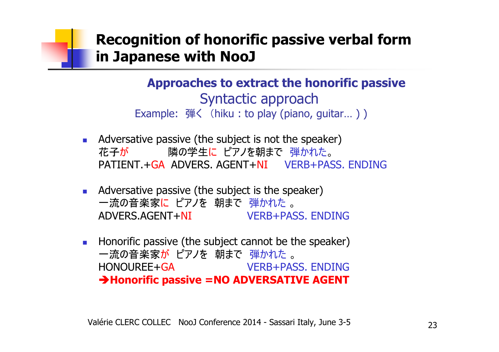Example: <sup>弾</sup><sup>く</sup> (hiku : to play (piano, guitar… ) ) **Approaches to extract the honorific passive**Syntactic approach

- $\mathcal{L}_{\mathcal{A}}$  Adversative passive (the subject is not the speaker) 花子が花子<mark>が</mark> 隣の学生に ピアノを朝まで 弾かれた。<br>PATIENT.+<mark>GA ADVERS. AGENT+NI VERB+PASS. ENDING</mark> <mark>に ピアノを朝まで 弾かれた</mark><br>、ACENT L**NI** (VEDB LD o
- **Adversative passive (the subject is the speaker)** 一流の音楽家<mark>に ピアノを 朝まで 弾かれた</mark><br>ADVERS AGENT+<mark>NI</mark> ADVERS.AGENT+NI VERB+PASS. ENDINGo
- $\sim 1$  Honorific passive (the subject cannot be the speaker) ー流の音楽家が ピアノを 朝まで 弾かれた<br>HONOLIREE+GA HONOUREE+GA VERB+PASS. ENDINGo **Honorific passive =NO ADVERSATIVE AGENT**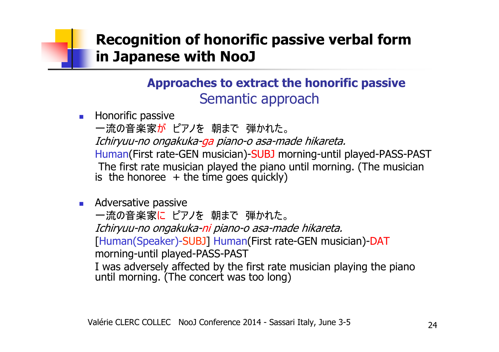### **Approaches to extract the honorific passive**Semantic approach

**Honorific passive** 一流の音楽家が ピアノを 朝まで 弾かれた。<br>*Ichirvuu-no ongakuka-ga piano-o asa-mi*  Ichiryuu-no ongakuka-ga piano-o asa-made hikareta. Human(First rate-GEN musician)-SUBJ morning-until played-PASS-PAST The first rate musician played the piano until morning. (The musician is the honoree  $+$  the time goes quickly)

**Adversative passive** 

一流の音楽家<mark>に</mark> ピアノを 朝まで 弾かれた。<br>*Ichirvuu-no ongakuka-ni piano-o asa-ma*  Ichiryuu-no ongakuka-ni piano-o asa-made hikareta.[Human(Speaker)-SUBJ] Human(First rate-GEN musician)-DAT<br>morning-until played-PASS-PAST morning-until played-PASS-PASTI was adversely affected by the first rate musician playing the piano<br>until morning. (The concert was too long)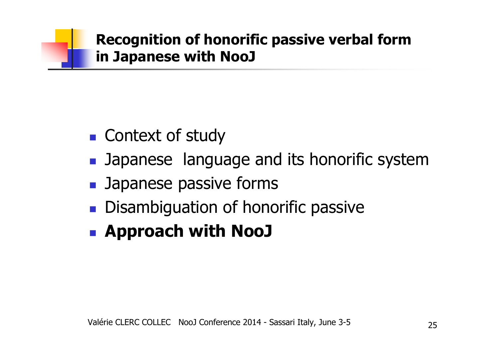- $\mathbb{R}^n$ ■ Context of study
- $\mathbb{R}^n$ **Demographs** Japanese language and its honorific system
- $\mathbb{R}^n$ **B** Japanese passive forms
- $\mathbb{R}^2$ **Disambiguation of honorific passive**
- $\mathbb{R}^n$ **Approach with NooJ**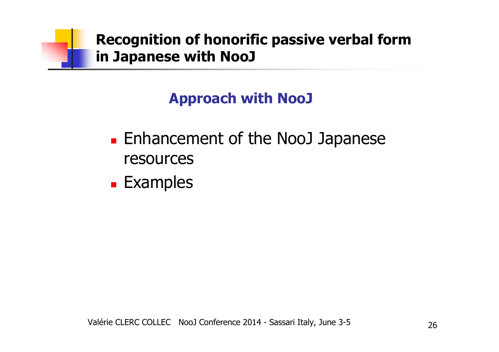## **Approach with NooJ**

- $\blacksquare$ **Enhancement of the NooJ Japanese**<br>resources resources
- × **Examples**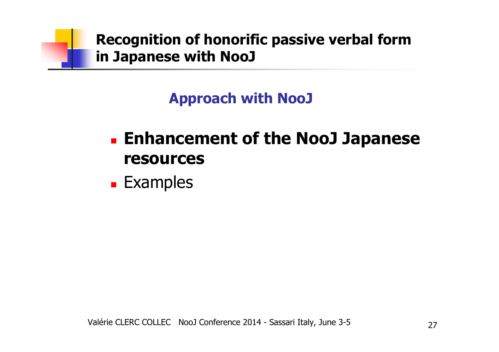

## **Approach with NooJ**

### $\blacksquare$  **Enhancement of the NooJ Japanese resources**

× **Examples**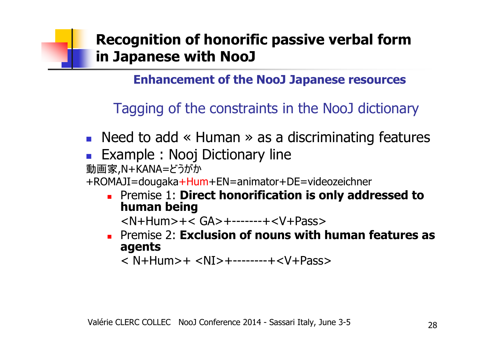**Enhancement of the NooJ Japanese resources**

Tagging of the constraints in the NooJ dictionary

- F **Need to add « Human » as a discriminating features**<br>• Example : Nooi Dictionary line
- F ■ Example : Nooj Dictionary line<br>動画家,N+KANA=どうがか

動画家,N+KANA=どうがか

+ROMAJI=dougaka+Hum+EN=animator+DE=videozeichner

П **Example 1: Direct honorification is only addressed to human being human being**

<N+Hum>+< GA>+-------+<V+Pass>

 $\blacksquare$  Premise Z: Exclusion of nouns with Premise 2: **Exclusion of nouns with human features as agents** 

< N+Hum>+ <NI>+--------+<V+Pass>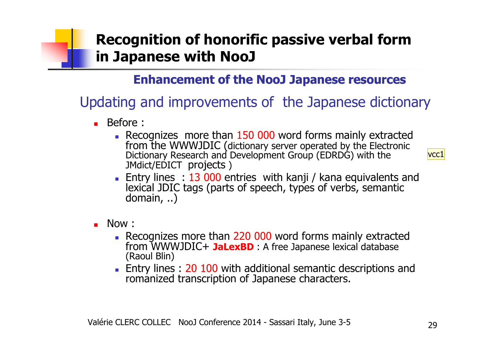### **Enhancement of the NooJ Japanese resources**

## Updating and improvements of the Japanese dictionary

- Before :
	- **Recognizes more than 150 000** from the WWWJDIC (dictionary server operated by the Electronic Dictionary Research and Development Group (EDRDG) with the JMdict/EDICT projects)

 $|{\rm vcc1}|$ 

- **Entry lines : 13 000** entries with kanji / kana equivalents and lexical JDIC tags (parts of speech, types of verbs, semantic domain, ..)
- Now :
	- Recognizes more than 220 000 word forms mainly extracted from WWWJDIC+ **JaLexBD**: A free Japanese lexical database from WWWJDIC+ JaLexBD : A free Japanese lexical database (Raoul Blin)
	- **Entry lines : 20 100** with additional semantic descriptions and romanized transcription of Japanese characters.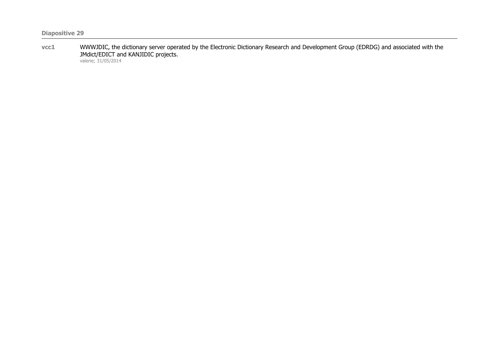**vcc1** WWWJDIC, the dictionary server operated by the Electronic Dictionary Research and Development Group (EDRDG) and associated with the JMdict/EDICT and KANJIDIC projects. valerie; 31/05/2014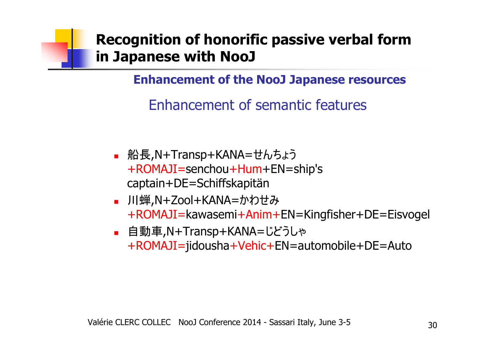**Enhancement of the NooJ Japanese resources**

Enhancement of semantic features

- П ■ 船長,N+Transp+KANA=せんちょう +ROMAJI=senchou+Hum+EN=ship's captain+DE=Schiffskapitän
- L. ■ 川蝉,N+Zool+KANA=かわせみ +ROMAJI=kawasemi+Anim+EN=Kingfisher+DE=Eisvogel
- П ■ 自動車,N+Transp+KANA=じどうしゃ +ROMAJI=jidousha+Vehic+EN=automobile+DE=Auto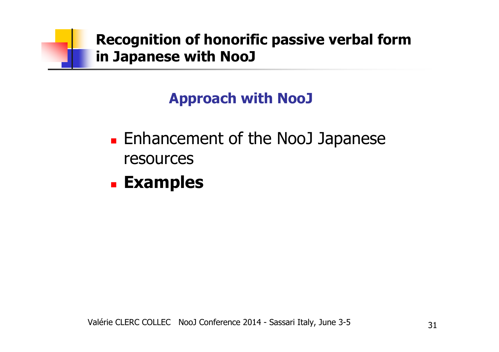

## **Approach with NooJ**

- $\blacksquare$ **Enhancement of the NooJ Japanese**<br>resources resources
- × **Examples**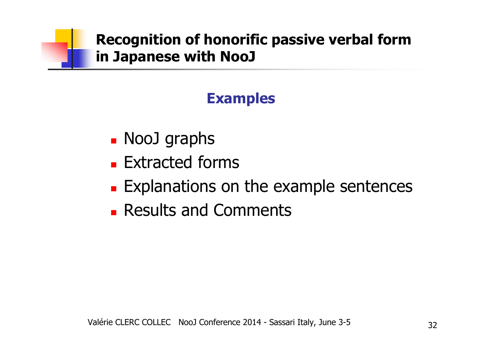## **Examples**

- $\blacksquare$ ■ NooJ graphs<br>Extracted fo
- $\blacksquare$ **Extracted forms**
- × **Explanations on the example sentences**
- $\blacksquare$ **Results and Comments**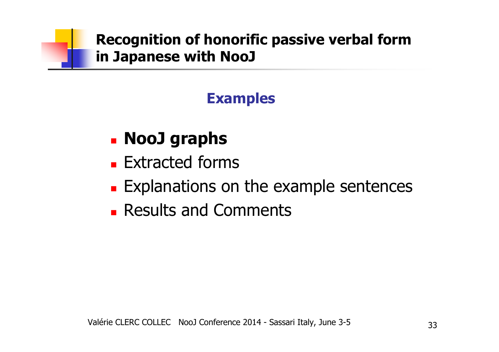## **Examples**

### $\blacksquare$ **NooJ graphs**

- $\blacksquare$ **Extracted forms**
- × **Explanations on the example sentences**
- $\blacksquare$ **Results and Comments**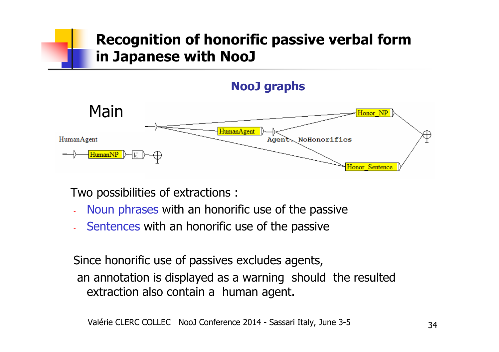### **NooJ graphs**



Two possibilities of extractions :

- Noun phrases with an honorific use of the passive
- Sentences with an honorific use of the passive

Since honorific use of passives excludes agents,an annotation is displayed as a warning should the resulted extraction also contain a human agent.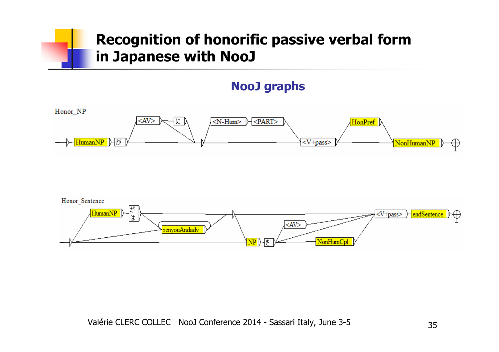### **NooJ graphs**



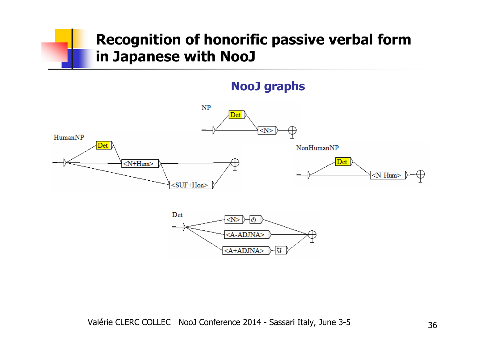### **NooJ graphs**

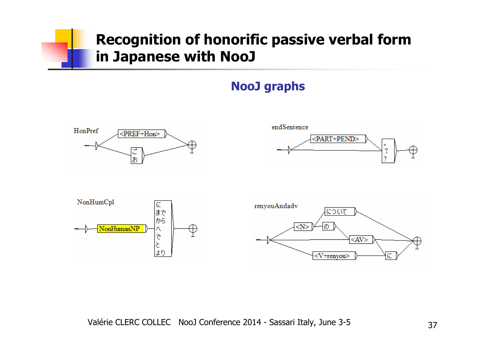### **NooJ graphs**

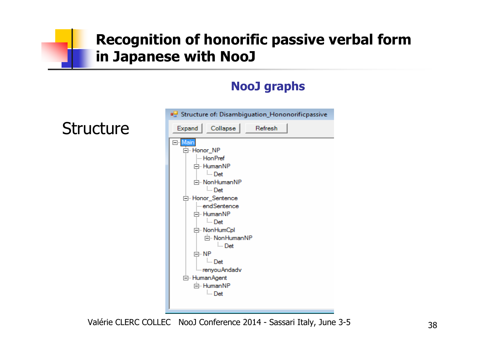### **NooJ graphs**



Valérie CLERC COLLEC NooJ Conference 2014 - Sassari Italy, June 3-5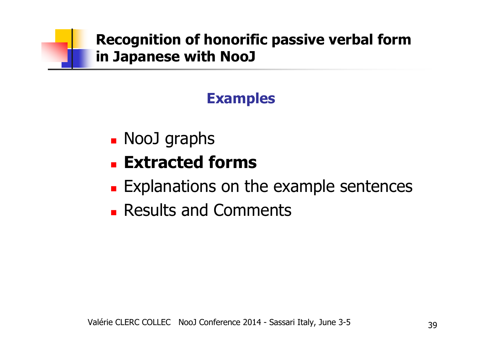## **Examples**

 $\blacksquare$ NooJ graphs<br>Extracted

#### $\blacksquare$ **Extracted forms**

- × **Explanations on the example sentences**
- $\blacksquare$ **Results and Comments**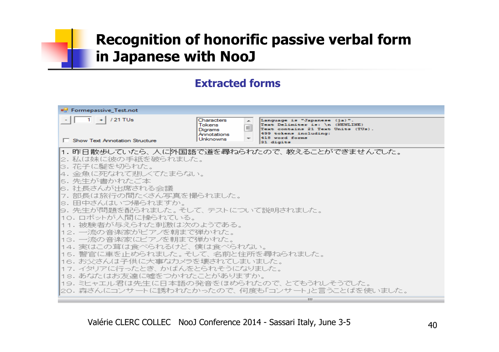### **Extracted forms**



Valérie CLERC COLLEC NooJ Conference 2014 - Sassari Italy, June 3-5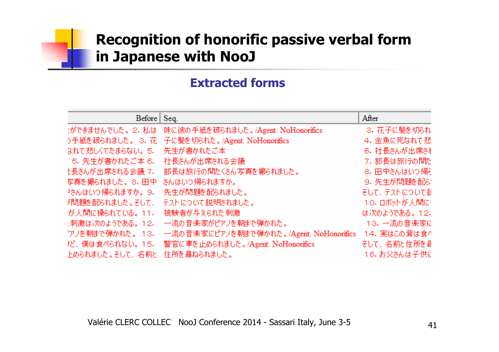### **Extracted forms**

| Before            | Seq.                                           | After         |
|-------------------|------------------------------------------------|---------------|
| ○ができませんでした。 2.私は  | 妹に彼の手紙を破られました。/Agent. NoHonorifics             | 3. 花子に髪を切られ   |
|                   | )手紙を破られました。 3. 花 子に髪を切られた。/Agent. NoHonorifics | 4. 金魚に死なれて悲   |
| はれて悲しくてたまらない。5.   | 先生が書かれたご本                                      | 6. 社長さんが出席され  |
| 5. 先生が書かれたご本 6.   | 社長さんが出席される会議                                   | 7.部長は旅行の間た    |
| 上長さんが出席される会議 7.   | 部長は旅行の間たくさん写真を撮られました。                          | 8. 田中さんはいつ帰引  |
| 写真を撮られました。8. 田中   | さんはいつ 帰られますか。                                  | 9. 先生が問題を配む   |
| Pさんはいつ帰られますか。9.   | 先生が問題を配られました。                                  | そして、テストについて割  |
| 『問題を配られました。 そして、  | テストについて説明されました。                                | 10. ロボットが人間に  |
| が人間に操られている。11.    | 被験者が与えられた刺激                                    | は次のようである。 12. |
| : 刺激は次のようである。 12. | 一流の音楽家がピアノを朝まで弾かれた。                            | 13.一流の音楽家に    |
| ^アノを朝まで弾かれた。 13.  | 一流の音楽家にピアノを朝まで弾かれた。/Agent. NoHonorifics        | 14. 実はこの茸は食^  |
| だ、僕は食べられない。15.    | 警官に車を止められました。/Agent. NoHonorifics              | そして、名前と住所を曇   |
| 上められました。そして、名前と   | 住所を尋ねられました。                                    | 16. お父さんは子供に  |

Valérie CLERC COLLEC NooJ Conference 2014 - Sassari Italy, June 3-5 41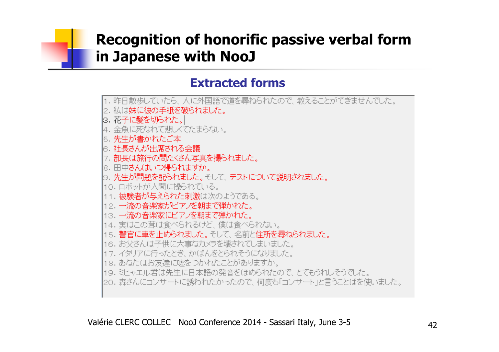### **Extracted forms**

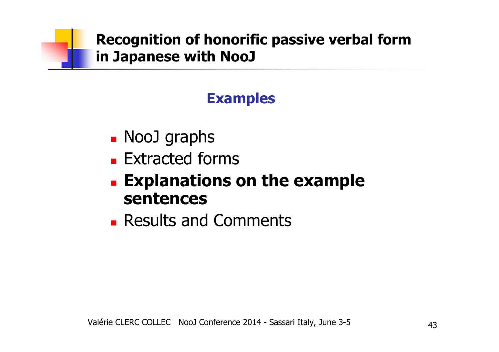## **Examples**

- × • NooJ graphs<br>- Extractod for
- Π **Extracted forms**
- $\blacksquare$  **Explanations on the example sentences**
- × **Results and Comments**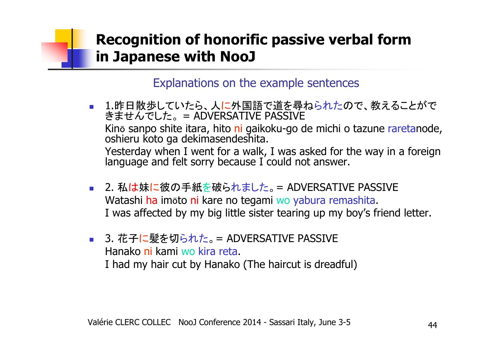- 1.昨日散歩していたら、人 <mark>に外国語で道を尋ねられたので、教えることがで</mark> きませんでした。= ADVERSATIVE PASSIVE<br>Kiss connectity itses this of milletecase de mishi s terms weeksels Kinō sanpo shite itara, hito <mark>ni</mark> gaikoku-go de michi o tazune raretanode,<br>oshieru koto ga dekimasendeshita.<br>Yesterday when I went for a walk. I was asked for the way in a foreign. oshieru koto ga dekimasendeshita. Yesterday when I went for a walk, I was asked for the way in a foreign language and felt sorry because I could not answer.
- 2. 私は妹に彼の手紙を破られました。 = ADVERSATIVE PASSIVE Watashi <mark>ha</mark> imōto ni kare no tegami wo yabura remashita.<br>I was affected by my big little sister tearing un my boy's f I was affected by my big little sister tearing up my boy's friend letter.
- 3. 花子に髪を切られた。 = ADVERSATIVE PASSIVE Hanako ni kami wo kira reta.<br>I had my hair cut hy Hanako i I had my hair cut by Hanako (The haircut is dreadful)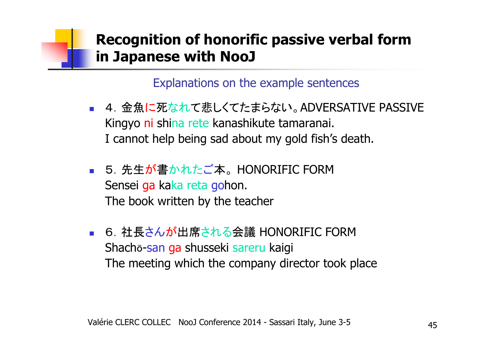- У. ■ 4. 金魚に死なれて悲しくてたまらない。ADVERSATIVE PASSIVE Kingyo <mark>ni</mark> shina rete kanashikute tamaranai.<br>I cannot heln being sad about my gold fish's I cannot help being sad about my gold fish's death.
- ■ 5. 先生が書かれたご本。HONORIFIC FORM<br>-Sensei ga ka<mark>ka reta go</mark>hon.<br><sup>The book written by the tea</sup> The book written by the teacher
- У. ■ 6. 社長さんが出席される会議 HONORIFIC FORM<br>Shacha-san ga shusseki sareru kajgi Shachō-<mark>san ga</mark> shusseki sareru kaigi The meeting which the company director took place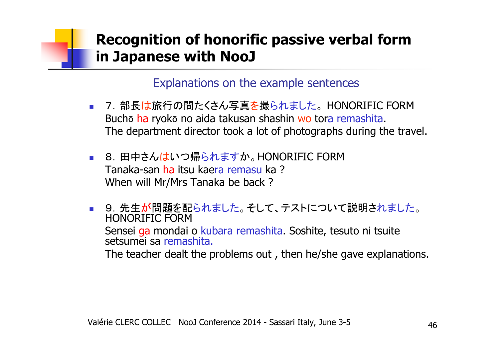- 7. 部長は旅行の間たくさん写真を撮られました。 Buchō <mark>ha</mark> ryokō no aida takusan shashin <mark>wo</mark> tora remashita.<br>The denartment director took a lot of nhotogranhs during th 。HONORIFIC FORM The department director took a lot of photographs during the travel.
- 8. 田中さん<mark>はいつ帰られますか。HONORIFIC FOR</mark>M Tanaka-san <mark>ha</mark> itsu kaera remasu ka ?<br>When will Mr/Mrs Tanaka he hack ? When will Mr/Mrs Tanaka be back ?
- 9. 先生が問題を配られました。そして、テストについて説明されました。<br>- HONOPIELS FODM HONORIFIC FORMSensei ga mondai o kubara remashita. Soshite, tesuto ni tsuite<br>setsumei sa remashita. setsumei sa remashita. The teacher dealt the problems out , then he/she gave explanations.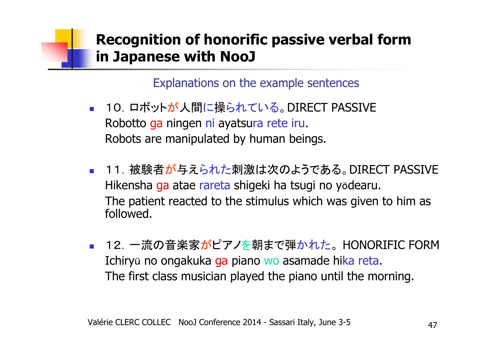- У. ■ 10. ロボットが人間に操られている。DIRECT PASSIVE Robotto <mark>ga</mark> ningen ni ayatsura rete iru.<br>Pobots are manipulated by buman bein Robots are manipulated by human beings.
- ■ 11. 被験者が与えられた刺激は次のようである。DIRECT PASSIVE Hikensha ga atae rareta shigeki ha tsugi no yōdearu.<br>The patient reacted to the stimulus which was given t The patient reacted to the stimulus which was given to hi m as followed.
- F. <mark>■</mark> 12. 一流の音楽家がピアノを朝まで弾かれた。 Ichiryū no ongakuka <mark>ga</mark> piano wo asamade hi<mark>ka reta.</mark><br>The first class musician played the piano until the mo 。HONORIFIC FORM The first class musician played the piano until the morning.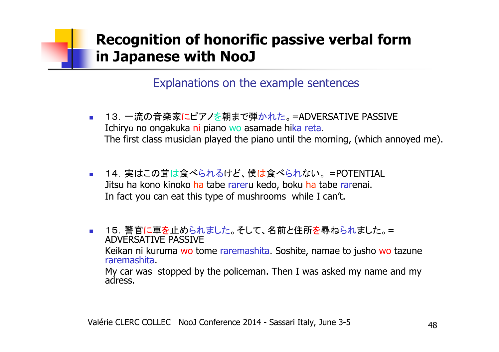- $\mathcal{L}_{\mathcal{A}}$ <mark>■ 13</mark>. 一流の音楽家<mark>にピアノを</mark>朝まで弾かれた。=ADVERSATIVE PASSIVE Ichiryū no ongakuka <mark>ni</mark> piano wo asamade hi<mark>ka reta.</mark><br>The first class musician played the niano until the me The first class musician played the piano until the morning, (which annoyed me).
- 14. 実はこの茸は食べられるけど、僕は食べられない。=POTENTIAL<br>- ・・・・・・・・・・・・・・・・・・・・・・・・・・・・ Jitsu ha kono kinoko <mark>ha</mark> tabe rareru kedo, boku <mark>ha</mark> tabe rarenai.<br>In fact you can eat this tyne of mushrooms, while I can't In fact you can eat this type of mushrooms while I can't.
- 15.警官に車を止められました。そして、名前と住所を尋ねられました。= ADVERSATIVE PASSIVEKeikan ni kuruma wo tome raremashita. Soshite, namae to jūsho wo tazune<br>raremashita. raremashita. My car was stopped by the policeman. Then I was asked my name and my adress.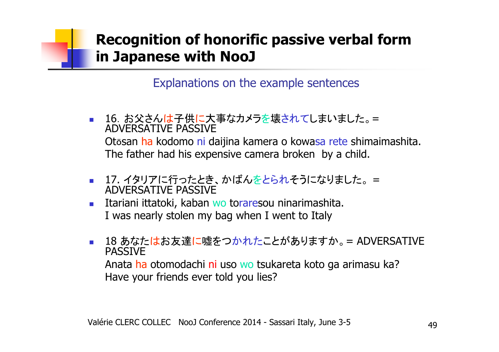- 16. お父さんは子供に大事なカメラを壊されてしまいました。 = ADVERSATIVE PASSIVEOtōsan <mark>ha</mark> kodomo ni daijina kamera o kowa<mark>sa rete</mark> shimaimashita.<br>The father had his exnensive camera hroken, hy a child The father had his expensive camera broken by a child.
- 17. イタリアに行ったとき、かばんをとられそうになりました。 <sup>=</sup> ADVERSATIVE PASSIVE
- Itariani ittatoki, kaban wo toraresou ninarimashita.<br>I was nearly stolen my haq when I went to Italy  $\mathcal{L}_{\rm{max}}$ I was nearly stolen my bag when I went to Italy
- 18 あなたはお友達に嘘をつかれたことがありますか。 = ADVERSATIVE PASSIVEAnata <mark>ha</mark> otomodachi ni uso wo tsukareta koto ga arimasu ka?<br>Have your friends ever told you lies? Have your friends ever told you lies?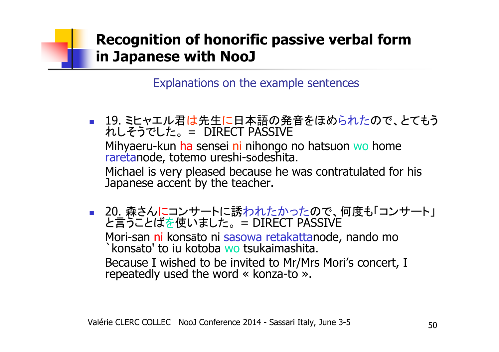- 19. ミヒャエル君は先生に日本語の発音をほめられたので、とてもう れしそうでした。 = DIRECT PASSIVE Mihyaeru-kun <mark>ha</mark> sensei ni nihongo no hatsuon wo home<br>raretanode, totemo ureshi-sōdeshita. raretanode, totemo ureshi-sōdeshita.<br>Michael is very pleased because he w Michael is very pleased because he was contratulated for his Japanese accent by the teacher.
- F. ■ 20 森さんにコンサートに誘われたかったので、何度も「コンサート」<br>■ 20 幸こしばもはいちしょ と言うことばを使いました。 = DIRECT PASSIVE Mori-san <mark>ni</mark> konsāto ni sasowa retakattanode, nando mo<br>`konsāto' to iu kotoba wo tsukaimashita. Because I wished to be invited to Mr/Mrs Mori's concert, I<br>repeatedly used the word « konza-to ». `konsāto' to iu kotoba wo tsukaimashita. repeatedly used the word « konza-to ».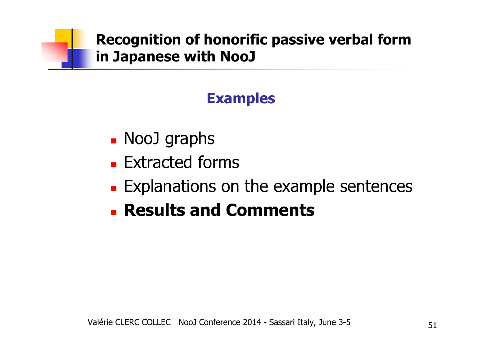## **Examples**

- $\blacksquare$ ■ NooJ graphs<br>Extracted fo
- $\blacksquare$ **Extracted forms**
- × **Explanations on the example sentences**
- $\blacksquare$ **Results and Comments**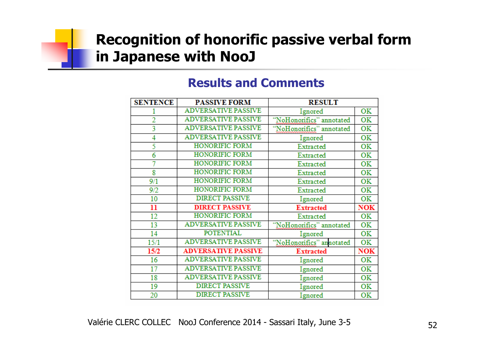### **Results and Comments**

| <b>SENTENCE</b> | <b>PASSIVE FORM</b>        | <b>RESULT</b>            |            |
|-----------------|----------------------------|--------------------------|------------|
|                 | <b>ADVERSATIVE PASSIVE</b> | Ignored                  | <b>OK</b>  |
| $\overline{2}$  | <b>ADVERSATIVE PASSIVE</b> | "NoHonorifics" annotated | OK         |
| 3               | <b>ADVERSATIVE PASSIVE</b> | "NoHononifics" annotated | OK         |
| 4               | <b>ADVERSATIVE PASSIVE</b> | Ignored                  | OK         |
| 5               | <b>HONORIFIC FORM</b>      | Extracted                | OK         |
| 6               | <b>HONORIFIC FORM</b>      | Extracted                | OK         |
| 7               | HONORIFIC FORM             | Extracted                | OK         |
| 8               | <b>HONORIFIC FORM</b>      | Extracted                | OK         |
| 9/1             | <b>HONORIFIC FORM</b>      | Extracted                | OK         |
| 9/2             | <b>HONORIFIC FORM</b>      | Extracted                | OK         |
| 10              | <b>DIRECT PASSIVE</b>      | Ignored                  | <b>OK</b>  |
| 11              | <b>DIRECT PASSIVE</b>      | <b>Extracted</b>         | <b>NOK</b> |
| 12              | <b>HONORIFIC FORM</b>      | Extracted                | OK         |
| 13              | <b>ADVERSATIVE PASSIVE</b> | "NoHonorifics" annotated | OK         |
| 14              | <b>POTENTIAL</b>           | Ignored                  | OK         |
| 15/1            | <b>ADVERSATIVE PASSIVE</b> | "NoHonorifics" annotated | OK         |
| 15/2            | <b>ADVERSATIVE PASSIVE</b> | <b>Extracted</b>         | <b>NOK</b> |
| 16              | <b>ADVERSATIVE PASSIVE</b> | Ignored                  | <b>OK</b>  |
| 17              | <b>ADVERSATIVE PASSIVE</b> | Ignored                  | <b>OK</b>  |
| 18              | <b>ADVERSATIVE PASSIVE</b> | Ignored                  | OK         |
| 19              | <b>DIRECT PASSIVE</b>      | Ignored                  | <b>OK</b>  |
| 20              | <b>DIRECT PASSIVE</b>      | Ignored                  | OK         |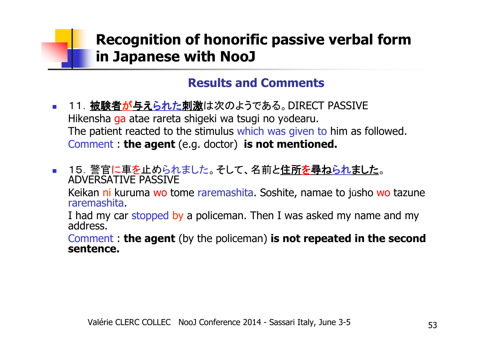### **Results and Comments**

- $\mathcal{L}_{\mathrm{c}}$ ■ 11. <u>被験者<mark>が与えられた刺激</mark>は次のよう</u>である。DIRECT PASSIVE Hikensha <mark>ga</mark> atae rareta shigeki wa tsugi no yōdearu.<br>The natient reacted to the stimulus which was given tr The patient reacted to the stimulus which was given to him as followed. Comment : **the agent** (e.g. doctor) **is not mentioned.**
- 15.警官に車を止められました。そして、名前と住所を尋ねられました。ADVERSATIVE PASSIVE

Keikan <mark>ni</mark> kuruma wo tome raremashita. Soshite, namae to jūsho wo tazune<br>raremashita. raremashita.

I had my car stopped by a policeman. Then I was asked my name and my<br>address.

Comment : **the agent** (by the policeman) **is not repeated in the second sentence.**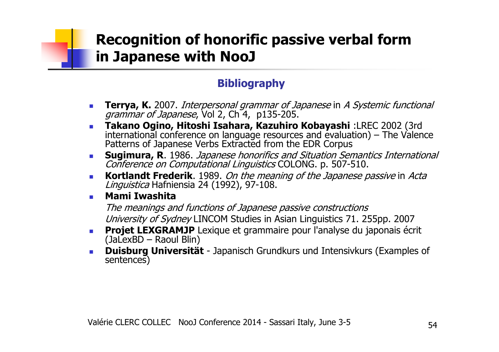### **Bibliography**

- $\mathcal{L}_{\mathcal{A}}$ **Terrya, K.** 2007. Interpersonal grammar of Japanese in A Systemic functional grammar of Japanese, Vol 2, Ch 4, p135-205.
- **Takano Ogino, Hitoshi Isahara, Kazuhiro Kobayashi** :LREC 2002 (3rd international conference on language resources and evaluation) The Valence Patterns of Japanese Verbs Extracted from the EDR Corpus
- $\mathcal{L}_{\rm{max}}$ **Sugimura, R.** 1986. Japanese honorifics and Situation Semantics International Conference on Computational Linguistics COLONG. p. 507-510.
- $\mathcal{L}_{\mathcal{A}}$  **Kortlandt Frederik**. 1989. On the meaning of the Japanese passive in Acta *Linguistica* Hafniensia 24 (1992), 97-108.<br>**Mami Twashita**
- $\mathbf{r}$ **Mami Iwashita**

The meanings and functions of Japanese passive constructionsUniversity of Sydney LINCOM Studies in Asian Linguistics 71. 255pp. 2007

- **Projet LEXGRAMJP** Lexique et grammaire pour l'analyse du japonais écrit<br>(JaLexBD Raoul Blin) (JaLexBD – Raoul Blin)
- **Duisburg Universität** Japanisch Grundkurs und Intensivkurs (Examples of sentences)